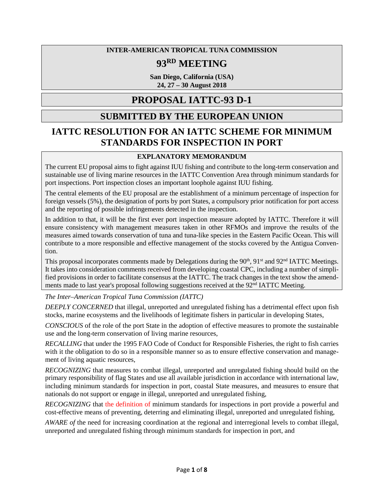### **INTER-AMERICAN TROPICAL TUNA COMMISSION**

# **93RD MEETING**

**San Diego, California (USA) 24, 27 – 30 August 2018**

# **PROPOSAL IATTC-93 D-1**

# **SUBMITTED BY THE EUROPEAN UNION**

# **IATTC RESOLUTION FOR AN IATTC SCHEME FOR MINIMUM STANDARDS FOR INSPECTION IN PORT**

## **EXPLANATORY MEMORANDUM**

The current EU proposal aims to fight against IUU fishing and contribute to the long-term conservation and sustainable use of living marine resources in the IATTC Convention Area through minimum standards for port inspections. Port inspection closes an important loophole against IUU fishing.

The central elements of the EU proposal are the establishment of a minimum percentage of inspection for foreign vessels (5%), the designation of ports by port States, a compulsory prior notification for port access and the reporting of possible infringements detected in the inspection.

In addition to that, it will be the first ever port inspection measure adopted by IATTC. Therefore it will ensure consistency with management measures taken in other RFMOs and improve the results of the measures aimed towards conservation of tuna and tuna-like species in the Eastern Pacific Ocean. This will contribute to a more responsible and effective management of the stocks covered by the Antigua Convention.

This proposal incorporates comments made by Delegations during the 90<sup>th</sup>, 91<sup>st</sup> and 92<sup>nd</sup> IATTC Meetings. It takes into consideration comments received from developing coastal CPC, including a number of simplified provisions in order to facilitate consensus at the IATTC. The track changes in the text show the amendments made to last year's proposal following suggestions received at the 92<sup>nd</sup> IATTC Meeting.

*The Inter–American Tropical Tuna Commission (IATTC)* 

*DEEPLY CONCERNED* that illegal, unreported and unregulated fishing has a detrimental effect upon fish stocks, marine ecosystems and the livelihoods of legitimate fishers in particular in developing States,

*CONSCIOUS* of the role of the port State in the adoption of effective measures to promote the sustainable use and the long-term conservation of living marine resources,

*RECALLING* that under the 1995 FAO Code of Conduct for Responsible Fisheries, the right to fish carries with it the obligation to do so in a responsible manner so as to ensure effective conservation and management of living aquatic resources,

*RECOGNIZING* that measures to combat illegal, unreported and unregulated fishing should build on the primary responsibility of flag States and use all available jurisdiction in accordance with international law, including minimum standards for inspection in port, coastal State measures, and measures to ensure that nationals do not support or engage in illegal, unreported and unregulated fishing,

*RECOGNIZING* that the definition of minimum standards for inspections in port provide a powerful and cost-effective means of preventing, deterring and eliminating illegal, unreported and unregulated fishing,

*AWARE of* the need for increasing coordination at the regional and interregional levels to combat illegal, unreported and unregulated fishing through minimum standards for inspection in port, and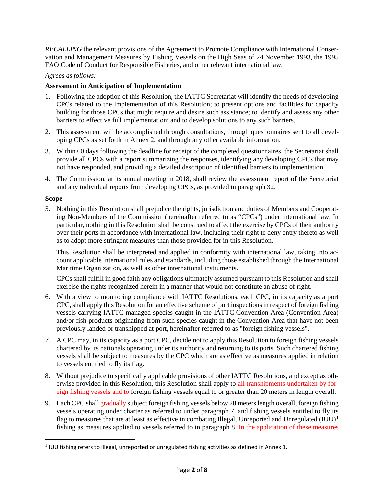*RECALLING* the relevant provisions of the Agreement to Promote Compliance with International Conservation and Management Measures by Fishing Vessels on the High Seas of 24 November 1993, the 1995 FAO Code of Conduct for Responsible Fisheries, and other relevant international law,

#### *Agrees as follows:*

#### **Assessment in Anticipation of Implementation**

- 1. Following the adoption of this Resolution, the IATTC Secretariat will identify the needs of developing CPCs related to the implementation of this Resolution; to present options and facilities for capacity building for those CPCs that might require and desire such assistance; to identify and assess any other barriers to effective full implementation; and to develop solutions to any such barriers.
- 2. This assessment will be accomplished through consultations, through questionnaires sent to all developing CPCs as set forth in Annex 2, and through any other available information.
- 3. Within 60 days following the deadline for receipt of the completed questionnaires, the Secretariat shall provide all CPCs with a report summarizing the responses, identifying any developing CPCs that may not have responded, and providing a detailed description of identified barriers to implementation.
- 4. The Commission, at its annual meeting in 2018, shall review the assessment report of the Secretariat and any individual reports from developing CPCs, as provided in paragraph 32.

#### **Scope**

 $\overline{\phantom{a}}$ 

5. Nothing in this Resolution shall prejudice the rights, jurisdiction and duties of Members and Cooperating Non-Members of the Commission (hereinafter referred to as "CPCs") under international law. In particular, nothing in this Resolution shall be construed to affect the exercise by CPCs of their authority over their ports in accordance with international law, including their right to deny entry thereto as well as to adopt more stringent measures than those provided for in this Resolution.

This Resolution shall be interpreted and applied in conformity with international law, taking into account applicable international rules and standards, including those established through the International Maritime Organization, as well as other international instruments.

CPCs shall fulfill in good faith any obligations ultimately assumed pursuant to this Resolution and shall exercise the rights recognized herein in a manner that would not constitute an abuse of right.

- 6. With a view to monitoring compliance with IATTC Resolutions, each CPC, in its capacity as a port CPC, shall apply this Resolution for an effective scheme of port inspections in respect of foreign fishing vessels carrying IATTC-managed species caught in the IATTC Convention Area (Convention Area) and/or fish products originating from such species caught in the Convention Area that have not been previously landed or transhipped at port, hereinafter referred to as "foreign fishing vessels".
- *7.* A CPC may, in its capacity as a port CPC, decide not to apply this Resolution to foreign fishing vessels chartered by its nationals operating under its authority and returning to its ports. Such chartered fishing vessels shall be subject to measures by the CPC which are as effective as measures applied in relation to vessels entitled to fly its flag.
- 8. Without prejudice to specifically applicable provisions of other IATTC Resolutions, and except as otherwise provided in this Resolution, this Resolution shall apply to all transhipments undertaken by foreign fishing vessels and to foreign fishing vessels equal to or greater than 20 meters in length overall.
- 9. Each CPC shall gradually subject foreign fishing vessels below 20 meters length overall, foreign fishing vessels operating under charter as referred to under paragraph 7, and fishing vessels entitled to fly its flag to measures that are at least as effective in combating Illegal, Unreported and Unregulated  $(IUU)^1$  $(IUU)^1$ fishing as measures applied to vessels referred to in paragraph 8. In the application of these measures

<span id="page-1-0"></span> $<sup>1</sup>$  IUU fishing refers to illegal, unreported or unregulated fishing activities as defined in Annex 1.</sup>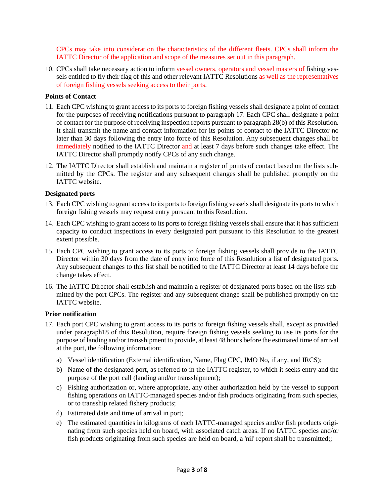CPCs may take into consideration the characteristics of the different fleets. CPCs shall inform the IATTC Director of the application and scope of the measures set out in this paragraph.

10. CPCs shall take necessary action to inform vessel owners, operators and vessel masters of fishing vessels entitled to fly their flag of this and other relevant IATTC Resolutions as well as the representatives of foreign fishing vessels seeking access to their ports.

### **Points of Contact**

- 11. Each CPC wishing to grant access to its ports to foreign fishing vessels shall designate a point of contact for the purposes of receiving notifications pursuant to paragraph 17. Each CPC shall designate a point of contact for the purpose of receiving inspection reports pursuant to paragraph 28(b) of this Resolution. It shall transmit the name and contact information for its points of contact to the IATTC Director no later than 30 days following the entry into force of this Resolution. Any subsequent changes shall be immediately notified to the IATTC Director and at least 7 days before such changes take effect. The IATTC Director shall promptly notify CPCs of any such change.
- 12. The IATTC Director shall establish and maintain a register of points of contact based on the lists submitted by the CPCs. The register and any subsequent changes shall be published promptly on the IATTC website.

#### **Designated ports**

- 13. Each CPC wishing to grant access to its ports to foreign fishing vessels shall designate its ports to which foreign fishing vessels may request entry pursuant to this Resolution.
- 14. Each CPC wishing to grant access to its ports to foreign fishing vessels shall ensure that it has sufficient capacity to conduct inspections in every designated port pursuant to this Resolution to the greatest extent possible.
- 15. Each CPC wishing to grant access to its ports to foreign fishing vessels shall provide to the IATTC Director within 30 days from the date of entry into force of this Resolution a list of designated ports. Any subsequent changes to this list shall be notified to the IATTC Director at least 14 days before the change takes effect.
- 16. The IATTC Director shall establish and maintain a register of designated ports based on the lists submitted by the port CPCs. The register and any subsequent change shall be published promptly on the IATTC website.

#### **Prior notification**

- 17. Each port CPC wishing to grant access to its ports to foreign fishing vessels shall, except as provided under paragraph18 of this Resolution, require foreign fishing vessels seeking to use its ports for the purpose of landing and/or transshipment to provide, at least 48 hours before the estimated time of arrival at the port, the following information:
	- a) Vessel identification (External identification, Name, Flag CPC, IMO No, if any, and IRCS);
	- b) Name of the designated port, as referred to in the IATTC register, to which it seeks entry and the purpose of the port call (landing and/or transshipment);
	- c) Fishing authorization or, where appropriate, any other authorization held by the vessel to support fishing operations on IATTC-managed species and/or fish products originating from such species, or to transship related fishery products;
	- d) Estimated date and time of arrival in port;
	- e) The estimated quantities in kilograms of each IATTC-managed species and/or fish products originating from such species held on board, with associated catch areas. If no IATTC species and/or fish products originating from such species are held on board, a 'nil' report shall be transmitted;;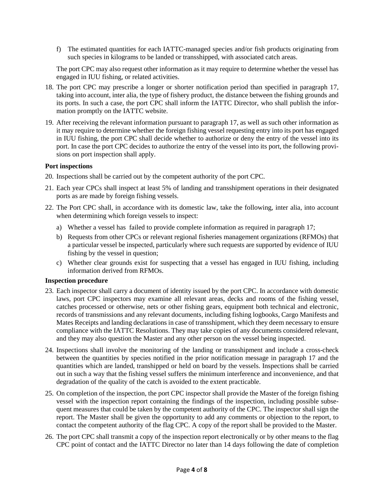f) The estimated quantities for each IATTC-managed species and/or fish products originating from such species in kilograms to be landed or transshipped, with associated catch areas.

The port CPC may also request other information as it may require to determine whether the vessel has engaged in IUU fishing, or related activities.

- 18. The port CPC may prescribe a longer or shorter notification period than specified in paragraph 17, taking into account, inter alia, the type of fishery product, the distance between the fishing grounds and its ports. In such a case, the port CPC shall inform the IATTC Director, who shall publish the information promptly on the IATTC website.
- 19. After receiving the relevant information pursuant to paragraph 17, as well as such other information as it may require to determine whether the foreign fishing vessel requesting entry into its port has engaged in IUU fishing, the port CPC shall decide whether to authorize or deny the entry of the vessel into its port. In case the port CPC decides to authorize the entry of the vessel into its port, the following provisions on port inspection shall apply.

#### **Port inspections**

- 20. Inspections shall be carried out by the competent authority of the port CPC.
- 21. Each year CPCs shall inspect at least 5% of landing and transshipment operations in their designated ports as are made by foreign fishing vessels.
- 22. The Port CPC shall, in accordance with its domestic law, take the following, inter alia, into account when determining which foreign vessels to inspect:
	- a) Whether a vessel has failed to provide complete information as required in paragraph 17;
	- b) Requests from other CPCs or relevant regional fisheries management organizations (RFMOs) that a particular vessel be inspected, particularly where such requests are supported by evidence of IUU fishing by the vessel in question;
	- c) Whether clear grounds exist for suspecting that a vessel has engaged in IUU fishing, including information derived from RFMOs.

#### **Inspection procedure**

- 23. Each inspector shall carry a document of identity issued by the port CPC. In accordance with domestic laws, port CPC inspectors may examine all relevant areas, decks and rooms of the fishing vessel, catches processed or otherwise, nets or other fishing gears, equipment both technical and electronic, records of transmissions and any relevant documents, including fishing logbooks, Cargo Manifests and Mates Receipts and landing declarations in case of transshipment, which they deem necessary to ensure compliance with the IATTC Resolutions. They may take copies of any documents considered relevant, and they may also question the Master and any other person on the vessel being inspected.
- 24. Inspections shall involve the monitoring of the landing or transshipment and include a cross-check between the quantities by species notified in the prior notification message in paragraph 17 and the quantities which are landed, transhipped or held on board by the vessels. Inspections shall be carried out in such a way that the fishing vessel suffers the minimum interference and inconvenience, and that degradation of the quality of the catch is avoided to the extent practicable.
- 25. On completion of the inspection, the port CPC inspector shall provide the Master of the foreign fishing vessel with the inspection report containing the findings of the inspection, including possible subsequent measures that could be taken by the competent authority of the CPC. The inspector shall sign the report. The Master shall be given the opportunity to add any comments or objection to the report, to contact the competent authority of the flag CPC. A copy of the report shall be provided to the Master.
- 26. The port CPC shall transmit a copy of the inspection report electronically or by other means to the flag CPC point of contact and the IATTC Director no later than 14 days following the date of completion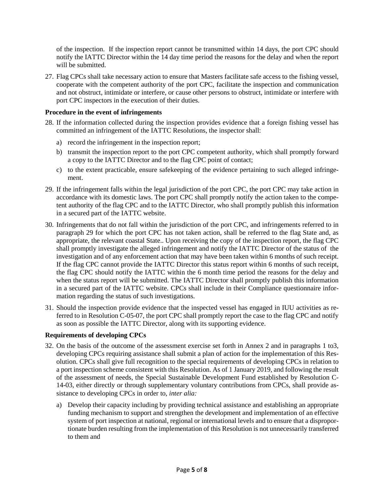of the inspection. If the inspection report cannot be transmitted within 14 days, the port CPC should notify the IATTC Director within the 14 day time period the reasons for the delay and when the report will be submitted.

27. Flag CPCs shall take necessary action to ensure that Masters facilitate safe access to the fishing vessel, cooperate with the competent authority of the port CPC, facilitate the inspection and communication and not obstruct, intimidate or interfere, or cause other persons to obstruct, intimidate or interfere with port CPC inspectors in the execution of their duties.

#### **Procedure in the event of infringements**

- 28. If the information collected during the inspection provides evidence that a foreign fishing vessel has committed an infringement of the IATTC Resolutions, the inspector shall:
	- a) record the infringement in the inspection report;
	- b) transmit the inspection report to the port CPC competent authority, which shall promptly forward a copy to the IATTC Director and to the flag CPC point of contact;
	- c) to the extent practicable, ensure safekeeping of the evidence pertaining to such alleged infringement.
- 29. If the infringement falls within the legal jurisdiction of the port CPC, the port CPC may take action in accordance with its domestic laws. The port CPC shall promptly notify the action taken to the competent authority of the flag CPC and to the IATTC Director, who shall promptly publish this information in a secured part of the IATTC website.
- 30. Infringements that do not fall within the jurisdiction of the port CPC, and infringements referred to in paragraph 29 for which the port CPC has not taken action, shall be referred to the flag State and, as appropriate, the relevant coastal State.. Upon receiving the copy of the inspection report, the flag CPC shall promptly investigate the alleged infringement and notify the IATTC Director of the status of the investigation and of any enforcement action that may have been taken within 6 months of such receipt. If the flag CPC cannot provide the IATTC Director this status report within 6 months of such receipt, the flag CPC should notify the IATTC within the 6 month time period the reasons for the delay and when the status report will be submitted. The IATTC Director shall promptly publish this information in a secured part of the IATTC website. CPCs shall include in their Compliance questionnaire information regarding the status of such investigations.
- 31. Should the inspection provide evidence that the inspected vessel has engaged in IUU activities as referred to in Resolution C-05-07, the port CPC shall promptly report the case to the flag CPC and notify as soon as possible the IATTC Director, along with its supporting evidence.

### **Requirements of developing CPCs**

- 32. On the basis of the outcome of the assessment exercise set forth in Annex 2 and in paragraphs 1 to3, developing CPCs requiring assistance shall submit a plan of action for the implementation of this Resolution. CPCs shall give full recognition to the special requirements of developing CPCs in relation to a port inspection scheme consistent with this Resolution. As of 1 January 2019, and following the result of the assessment of needs, the Special Sustainable Development Fund established by Resolution C-14-03, either directly or through supplementary voluntary contributions from CPCs, shall provide assistance to developing CPCs in order to, *inter alia:*
	- a) Develop their capacity including by providing technical assistance and establishing an appropriate funding mechanism to support and strengthen the development and implementation of an effective system of port inspection at national, regional or international levels and to ensure that a disproportionate burden resulting from the implementation of this Resolution is not unnecessarily transferred to them and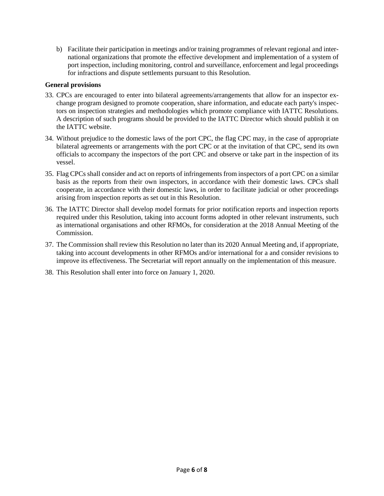b) Facilitate their participation in meetings and/or training programmes of relevant regional and international organizations that promote the effective development and implementation of a system of port inspection, including monitoring, control and surveillance, enforcement and legal proceedings for infractions and dispute settlements pursuant to this Resolution.

#### **General provisions**

- 33. CPCs are encouraged to enter into bilateral agreements/arrangements that allow for an inspector exchange program designed to promote cooperation, share information, and educate each party's inspectors on inspection strategies and methodologies which promote compliance with IATTC Resolutions. A description of such programs should be provided to the IATTC Director which should publish it on the IATTC website.
- 34. Without prejudice to the domestic laws of the port CPC, the flag CPC may, in the case of appropriate bilateral agreements or arrangements with the port CPC or at the invitation of that CPC, send its own officials to accompany the inspectors of the port CPC and observe or take part in the inspection of its vessel.
- 35. Flag CPCs shall consider and act on reports of infringements from inspectors of a port CPC on a similar basis as the reports from their own inspectors, in accordance with their domestic laws. CPCs shall cooperate, in accordance with their domestic laws, in order to facilitate judicial or other proceedings arising from inspection reports as set out in this Resolution.
- 36. The IATTC Director shall develop model formats for prior notification reports and inspection reports required under this Resolution, taking into account forms adopted in other relevant instruments, such as international organisations and other RFMOs, for consideration at the 2018 Annual Meeting of the Commission.
- 37. The Commission shall review this Resolution no later than its 2020 Annual Meeting and, if appropriate, taking into account developments in other RFMOs and/or international for a and consider revisions to improve its effectiveness. The Secretariat will report annually on the implementation of this measure.
- 38. This Resolution shall enter into force on January 1, 2020.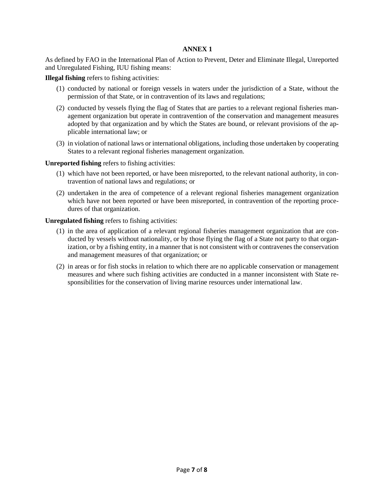#### **ANNEX 1**

As defined by FAO in the International Plan of Action to Prevent, Deter and Eliminate Illegal, Unreported and Unregulated Fishing, IUU fishing means:

**Illegal fishing** refers to fishing activities:

- (1) conducted by national or foreign vessels in waters under the jurisdiction of a State, without the permission of that State, or in contravention of its laws and regulations;
- (2) conducted by vessels flying the flag of States that are parties to a relevant regional fisheries management organization but operate in contravention of the conservation and management measures adopted by that organization and by which the States are bound, or relevant provisions of the applicable international law; or
- (3) in violation of national laws or international obligations, including those undertaken by cooperating States to a relevant regional fisheries management organization.

#### **Unreported fishing** refers to fishing activities:

- (1) which have not been reported, or have been misreported, to the relevant national authority, in contravention of national laws and regulations; or
- (2) undertaken in the area of competence of a relevant regional fisheries management organization which have not been reported or have been misreported, in contravention of the reporting procedures of that organization.

#### **Unregulated fishing** refers to fishing activities:

- (1) in the area of application of a relevant regional fisheries management organization that are conducted by vessels without nationality, or by those flying the flag of a State not party to that organization, or by a fishing entity, in a manner that is not consistent with or contravenes the conservation and management measures of that organization; or
- (2) in areas or for fish stocks in relation to which there are no applicable conservation or management measures and where such fishing activities are conducted in a manner inconsistent with State responsibilities for the conservation of living marine resources under international law.